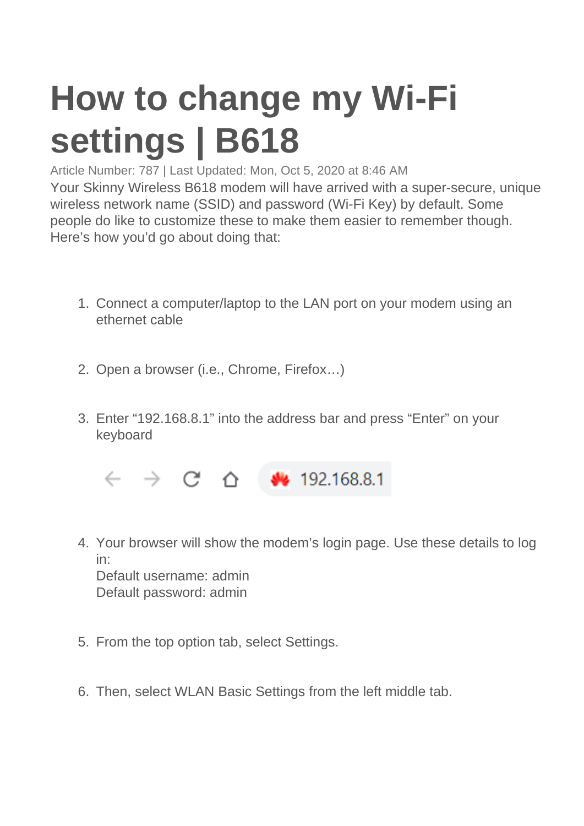## **How to change my Wi-Fi settings | B618**

Article Number: 787 | Last Updated: Mon, Oct 5, 2020 at 8:46 AM

Your Skinny Wireless B618 modem will have arrived with a super-secure, unique wireless network name (SSID) and password (Wi-Fi Key) by default. Some people do like to customize these to make them easier to remember though. Here's how you'd go about doing that:

- 1. Connect a computer/laptop to the LAN port on your modem using an ethernet cable
- 2. Open a browser (i.e., Chrome, Firefox…)
- 3. Enter "192.168.8.1" into the address bar and press "Enter" on your keyboard

 $\leftarrow$   $\rightarrow$   $C^*$   $\Delta$   $\bullet$  192.168.8.1

- 4. Your browser will show the modem's login page. Use these details to log in: Default username: admin Default password: admin
- 5. From the top option tab, select Settings.
- 6. Then, select WLAN Basic Settings from the left middle tab.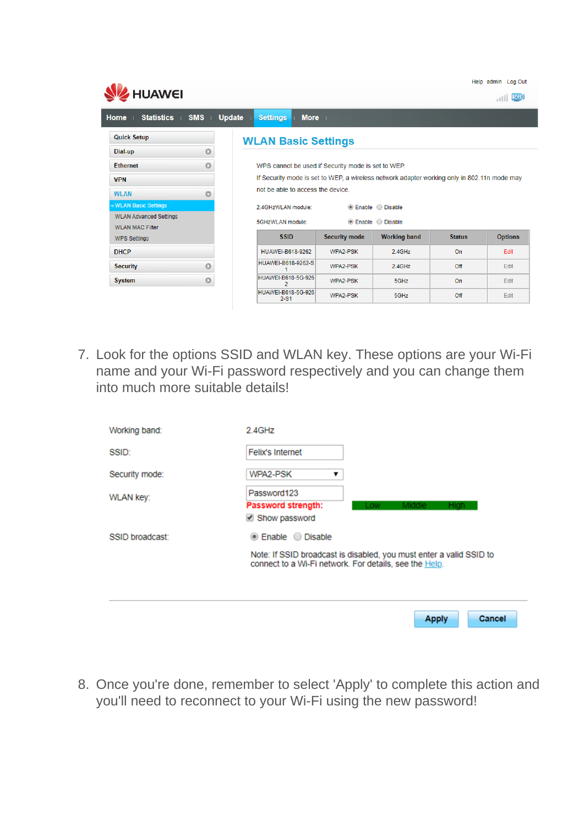|                                                         |            |               |                                                                                             |                      |                     |               | Help admin Log Out |
|---------------------------------------------------------|------------|---------------|---------------------------------------------------------------------------------------------|----------------------|---------------------|---------------|--------------------|
| HUAWEI                                                  |            |               |                                                                                             |                      |                     |               | 5G <sub>N</sub>    |
| <b>Statistics</b><br>Home<br>n e                        | <b>SMS</b> | <b>Update</b> | <b>More</b><br><b>Settings</b>                                                              |                      |                     |               |                    |
| <b>Quick Setup</b>                                      |            |               | <b>WLAN Basic Settings</b>                                                                  |                      |                     |               |                    |
| Dial-up                                                 | $\circ$    |               |                                                                                             |                      |                     |               |                    |
| <b>Ethernet</b>                                         | $\Omega$   |               | WPS cannot be used if Security mode is set to WEP.                                          |                      |                     |               |                    |
| <b>VPN</b>                                              |            |               | If Security mode is set to WEP, a wireless network adapter working only in 802.11n mode may |                      |                     |               |                    |
| <b>WLAN</b>                                             | o          |               | not be able to access the device.                                                           |                      |                     |               |                    |
| → WLAN Basic Settings                                   |            |               | 2.4GHzWLAN module:                                                                          |                      | ● Enable ● Disable  |               |                    |
| <b>WLAN Advanced Settings</b><br><b>WLAN MAC Filter</b> |            |               | ● Enable ● Disable<br>5GHzWLAN module:                                                      |                      |                     |               |                    |
| <b>WPS Settings</b>                                     |            |               | <b>SSID</b>                                                                                 | <b>Security mode</b> | <b>Working band</b> | <b>Status</b> | <b>Options</b>     |
| <b>DHCP</b>                                             |            |               | <b>HUAWEI-B618-9262</b>                                                                     | WPA2-PSK             | $2.4$ GHz           | On            | Edit               |
| <b>Security</b>                                         | $\circ$    |               | HUAWEI-B618-9262-S                                                                          | WPA2-PSK             | $2.4$ GHz           | Off           | Edit               |
| <b>System</b>                                           | $\Omega$   |               | HUAWEI-B618-5G-926<br>2                                                                     | WPA2-PSK             | 5GHz                | <b>On</b>     | Edit               |
|                                                         |            |               | HUAWEI-B618-5G-926<br>$2 - S1$                                                              | WPA2-PSK             | 5GHz                | Off           | Edit               |

7. Look for the options SSID and WLAN key. These options are your Wi-Fi name and your Wi-Fi password respectively and you can change them into much more suitable details!

| Working band:    | 2.4GHz                                                                                                                                              |  |  |
|------------------|-----------------------------------------------------------------------------------------------------------------------------------------------------|--|--|
| SSID:            | Felix's Internet                                                                                                                                    |  |  |
| Security mode:   | WPA2-PSK<br>▼                                                                                                                                       |  |  |
| <b>WLAN key:</b> | Password123<br>Password strength:<br>Middle<br>High.<br>Low<br>Show password                                                                        |  |  |
| SSID broadcast:  | ● Enable ● Disable<br>Note: If SSID broadcast is disabled, you must enter a valid SSID to<br>connect to a Wi-Fi network. For details, see the Help. |  |  |
|                  | <b>Cancel</b><br><b>Apply</b>                                                                                                                       |  |  |

8. Once you're done, remember to select 'Apply' to complete this action and you'll need to reconnect to your Wi-Fi using the new password!